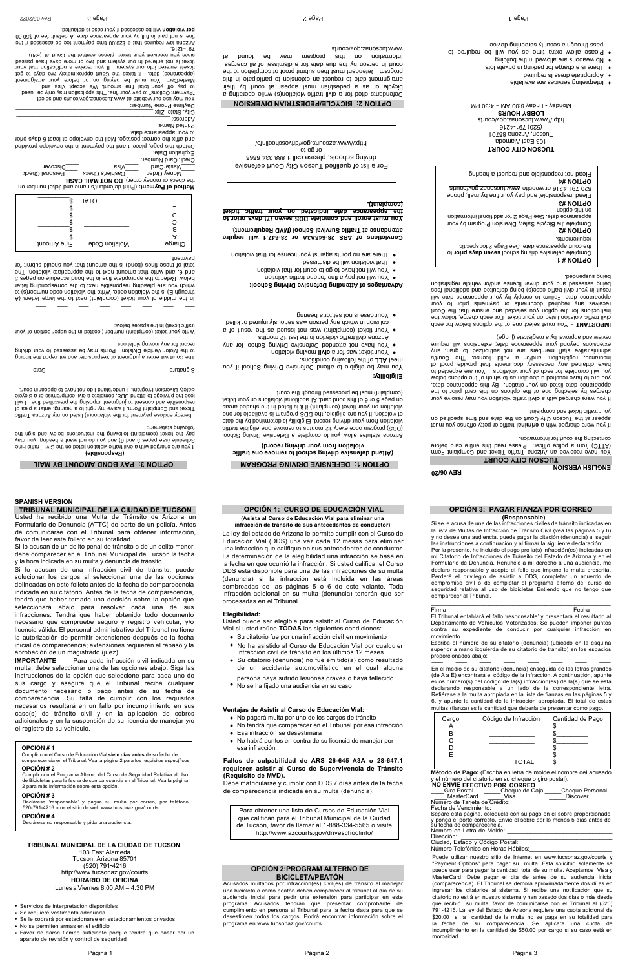**TUCSON CITY COURT**  mo I this teceived and Equational Treket and Complaint Form ended bis entire stat been easely resided than card before contacting the court for information.

If you were charged with a criminal traffic or petty offense you must appear at the Tucson City Court on the date and time specified on your traffic ticket and complaint.

If you were charged with a civil traffic violation you may resolve your charges by selecting one of the options on this card prior to the appearance date listed on your citation. By this appearance date, you are to have reached a decision as to which of the options below you will complete for each of your violations. You are expected to have obtained any necessary documents that provide proof of insurance, registration, and/or a valid license. The Court's administive staff members and and any curve to any state in the set of any state and state extensions peyond your appearance date; extensions will require teview and approval by a magistrate (judge).

 the options below for each e of on You must select **– T AN IMPORT** civil traffic violation listed on your ticket. For each charge, follow the instructions for the option you selected and ensure that the Court receives any reduired documents or payments prior to your appearance date. Failure to comply by your appearance date will result in your civil traffic case(s) being defaulted and additional fees being assessed and your driver license and/or vehicle registration pepuedsns bujeq

**SON CITY COURT UC T** ring hea a t s eque r and nsible' po Plead 'not res abemslA  $125 \pm 01$ r0Td8 snosinA , noeouT 620) 161-4516 rtip://www.istnos.com/www. **LOBBY HOURS**  MH  $0\,$ c: $\uparrow$  – MA 00:8 ysbri-1 - ysbriol

- 
- · Interpreting services are available beniupen ai aeenb etsingonggA
- · There is a charge for parking in private lots on we suode are sllowed in the puilding  $\bullet$
- of beniupen ed lliw uov as emit sutxe wolls easeld . pass fluondy a security screeuing device

## Attend defensive origions building a line and  $\theta$ **violation from your driving record)**

**Eligibility:** You may be eligible to attend Defensing Suiving School if you

Arizona statutes allow you to complete a Defensive Driving School 12 months to remove one couple traffic in the traffic traffic violation from your driving record. Eligibility is determined by the date are of violation is also been as the DDS program is available for one violable babade (complaint) if it is listed and the shaded areas texbit nov no anoitaloiv lanoitibba IIA . bras bnod aidt to 8 no 3 opaq no founted through through the court.

itions: **onligions** conditions: Your ticket was for a civil moving violation

- You have not attended Defensing School School for any
- Arizona civil traffic violation in the last 12 months Your ticket (complaint) was not issued as the result of a
- collision in which any person was seriously injured or killed pringed a rot tea for a hearing
- 

**.1 will require 647 5A3A or 28- 64 Convictions of ARS 28 l** Suppose at Traffic Survival School (MVD Requirement).

**n (7) days prior to ve S se DD and complete ll You must enro** the appearance date indicated on your traffic ticket

\_\_\_\_\_\_\_\_\_\_\_\_\_\_\_\_\_\_\_\_\_\_\_\_\_\_\_\_\_\_\_\_\_\_\_\_\_\_\_\_\_\_\_\_\_\_\_\_\_\_\_\_\_\_\_ Date Signature Signature Signature Signature Signature Signature Signature Signature Signature Signature Signature Signature Signature Signature Signature Signature Signature Signature Signature Signature Signature Signatu The Court will enter a judgment of 'responsible' and will report the finding

to the Motor Vehicle Division. Points may be assessed to your driving vecord for any moving violations.

while your licket (complaint) number (located in the upper portion of your traffic ticket) in the spaces below:

\_\_\_ \_\_\_ \_\_\_ \_\_\_ \_\_\_ \_\_\_ \_\_\_ \_\_\_ A) ers alte middle of your ticket (complaint) next to the large letters (A through E) is the violation code. Write the violation code number(s) to which you are pleading responsible next to the corresponding letter below. Refer to the appropriate fine in the bond schedule on pages 5 and 6, and interthalm and the strongle of the appropriation. The total industable (bond) is the submit that you should submit for

on er (Print defendant's name and ticket numb **t: of Paymen od Meth** the check or money order). DO NOT MAIL CASH. Money Order \_\_\_\_\_Cashier's Check \_\_\_\_Personal Check

\_\_\_\_Discover \_\_\_\_Visa \_\_\_\_MasterCard Credit Card Number:

Expiration Date: \_\_\_\_\_\_\_\_\_\_\_\_\_\_\_\_\_\_\_\_\_\_\_\_ Detach this page, place it and the payment in the envelope provided

and affix the correct postage. Mail the envelope at least 5 days prior to your appearance date. Printed Name:

**ges of Attending Defensive Driving School: ta <sup>n</sup> va Ad**

- You will not pay a fine for one traffic violation
- You will not have to go to court for that violation
- bezeimaib ed Iliw noitsloiv tarlT · violation that is charged studied our license for that violation

Address: \_\_\_\_\_\_\_\_\_\_\_\_\_\_\_\_\_\_\_\_\_\_\_\_\_\_\_\_\_\_\_\_\_\_\_\_\_\_\_\_\_\_\_\_\_\_\_ City, State, Zip: Daytime Phone Number:\_

You may use our website at www tucsouse appoint and select "Peyment Options" to pay your fine. This application may only be used to pay to pay to pay to pay the seq hosterCard. You must be paying on or before woy in alternatively It takes the Court approximately of central two days to get tickets entered into our system. If you receive a notification that your ticket is not entered in our system and two or more over an experience days since you received your ticket, please contact the Court at (520)

 $917 + 161$ Arizona law is die te approach to the expenses and the experiment fee passesses and and the manifest and the t me is not paid in full by your appearance date. A default fee of \$50.00<br>**per violation** will be assessed if your case is defaulted.

**(complaint).** 

For a list of qualified Tucson City Court defensive 5565 4- 334-5565 desemblace call 1-888-334-5565 o t go or http://www.azcourts.gov/inbiveschoolinfo

# **OPTION 2: BICYCLE/PEDESTRIAN DIVERSION**

Defendants cited for a civil traffic violation(s) while operating a bicycle or as a pedestrian must appear at court by their arraignment date to request an extension to participate in this program. Defendant must then submit proof of completion to the court in person by the due date for a dismissal of all charges. Information on this program may be bund at www.tucsona.courts

## **e) bl si on (Resp**

Five me charged with a civil traffic violation listed on the Civil Traffic Fine Schedule (see pages 5 and 6) and you do not want a hearing, you may put the sign the pay the pay the pay the pay the supplying the pay the sett usion the triemeta griwollot:

I hereby enclose payment rot the violation (s) included as interficient Ticket and Complaint Form. I waive my right to a hearing, entrer a plea of liw I euil bedineerd edi poisoqmi imempul of insano bus in will lose the privilege to attend DDS, complete a civil compromise or a Bicycle thus on the religion of the same in court. The safety product in court.

## Complete defensive driving school seven as experience to the court appearance date. See Page 2 for specific requirements.

## noitqo sidt no **OPTION #3**

Plesq 'nee polisione' substitute is a pure interesting throus 520-791-4216 or website www tucsonaz.gov/courts

**OPTION #4** Plead not responsible and rednest a hearing

payment.

|             | <b>JATOT</b>   |        |
|-------------|----------------|--------|
|             |                |        |
|             |                |        |
|             |                |        |
|             |                |        |
|             |                |        |
|             |                |        |
|             |                |        |
|             |                | Charge |
| Fine Amount | Violation Code |        |

Firma Fecha El Tribunal entablará el fallo 'responsable' y presentará el resultado al Departamento de Vehículos Motorizados. Se pueden imponer puntos contra su expediente de conducir por cualquier infracción en movimiento.

# **OPTION 3: PAY BOND AMOUNT BY MAIL**

**OPTION # 1** 

**OPTION #2** Complete the Bicycle Safety Diversion Program by your appearance date. See Page 2 for additional information

| y el número del citatorio en su cheque o giro postal). |                                                                        |  |  |
|--------------------------------------------------------|------------------------------------------------------------------------|--|--|
| NO ENVIE EFECTIVO POR CORREO                           |                                                                        |  |  |
| Giro Postal Cheque de Caja                             | <b>Cheque Personal</b>                                                 |  |  |
| MasterCard                                             | <b>Discover</b><br>Visa                                                |  |  |
| Número de Tarjeta de Crédito:                          |                                                                        |  |  |
| Fecha de Vencimiento:                                  |                                                                        |  |  |
|                                                        | Separe esta página, colóquela con su pago en el sobre proporcionado    |  |  |
|                                                        | y ponga el porte correcto. Envie el sobre por lo menos 5 días antes de |  |  |
| su fecha de comparecencia.                             |                                                                        |  |  |
| Nombre en Letra de Molde:                              |                                                                        |  |  |
| Dirección:                                             |                                                                        |  |  |
| Ciudad, Estado y Código Postal:                        |                                                                        |  |  |
| Número Telefónico en Horas Hábiles:                    |                                                                        |  |  |

# **SPANISH VERSION**

## **TRIBUNAL MUNICIPAL DE LA CIUDAD DE TUCSON**

103 East Alameda Tucson, Arizona 85701 (520) 791-4216 http://www.tucsonaz.gov/courts **HORARIO DE OFICINA**

Lunes a Viernes 8:00 AM - 4:30 PM

**Elegibilidad:**

## **Ventajas de Asistir al Curso de Educación Vial:**

- No pagará multa por uno de los cargos de tránsito
- No tendrá que comparecer en el Tribunal por esa infracción
- Esa infracción se desestimará

No habrá puntos en contra de su licencia de manejar por esa infracción.

# **OPCIÓN 3: PAGAR FIANZA POR CORREO**

| Cargo | Código de Infracción | Cantidad de Pago |
|-------|----------------------|------------------|
| в     |                      |                  |
|       |                      |                  |
| F     |                      |                  |
|       | <b>TOTAL</b>         |                  |

## **OPCIÓN # 1**

 Cumplir con el Curso de Educación Vial **siete días antes** de su fecha de comparecencia en el Tribunal. Vea la página 2 para los requisitos específicos .

## **OPCIÓN # 2**

## **OPCIÓN # 3**

## **OPCIÓN # 4**

**IMPORTANTE** – Para cada infracción civil indicada en su multa, debe seleccionar una de las opciones abajo. Siga las instrucciones de la opción que seleccione para cada uno de sus cargo y asegure que el Tribunal reciba cualquier documento necesario o pago antes de su fecha de comparecencia. Su falta de cumplir con los requisitos necesarios resultará en un fallo por incumplimiento en sus

## **OPCIÓN 1: CURSO DE EDUCACIÓN VIAL (Asista al Curso de Educación Vial para eliminar una infracción de tránsito de sus antecedentes de conductor)**

# **OPTION 1: DEFENSIVE DRIVING PROGRAM**

Si lo acusan de una infracción civil de tránsito, puede solucionar los cargos al seleccionar una de las opciones delineadas en este folleto antes de la fecha de comparecencia indicada en su citatorio. Antes de la fecha de comparecencia, tendrá que haber tomado una decisión sobre la opción que seleccionará abajo para resolver cada una de sus infracciones. Tendrá que haber obtenido todo documento necesario que compruebe seguro y registro vehicular, y/o licencia válida. El personal administrativo del Tribunal no tiene la autorización de permitir extensiones después de la fecha inicial de comparecencia; extensiones requieren el repaso y la aprobación de un magistrado (juez).

## **TRIBUNAL MUNICIPAL DE LA CIUDAD DE TUCSON** Usted ha recibido una Multa de Tránsito de Arizona un

**(Responsable)** Si se le acusa de una de las infracciones civiles de tránsito indicadas en

Si lo acusan de un delito penal de tránsito o de un delito menor, debe comparecer en el Tribunal Municipal de Tucson la fecha y la hora indicada en su multa y denuncia de tránsito. favor de leer este folleto en su totalidad.

caso(s) de tránsito civil y en la aplicación de cobros adicionales y en la suspensión de su licencia de manejar y/o el registro de su vehículo.

\_\_\_ \_\_\_ \_\_\_ \_\_\_ \_\_\_ \_\_\_ \_\_\_ \_\_\_ Escriba el número de su citatorio (denuncia) (ubicado en la esquina superior a mano izquierda de su citatorio de transito) en los espacios proporcionados abajo:

La ley del estado de Arizona le permite cumplir con el Curso de Educación Vial (DDS) una vez cada 12 mesas para eliminar una infracción que califique en sus antecedentes de conductor. La determinación de la elegibilidad una infracción se basa en la fecha en que ocurrió la infracción. Si usted califica, el Curso DDS está disponible para una de las infracciones de su multa (denuncia) si la infracción está incluida en las áreas sombreadas de las páginas 5 o 6 de este volante. Toda infracción adicional en su multa (denuncia) tendrán que ser

# procesadas en el Tribunal.

Para obtener una lista de Cursos de Educación Vial que califican para el Tribunal Municipal de la Ciudad de Tucson, favor de llamar al 1-888-334-5565 o visite http://www.azcourts.gov/driveschoolinfo/

- Servicios de interpretación disponibles
- Se requiere vestimenta adecuada
- Se le cobrará por estacionarse en estacionamientos privados
- No se permiten armas en el edificio
- Favor de darse tiempo suficiente porque tendrá que pasar por un aparato de revisión y control de seguridad

la lista de Multas de Infracción de Tránsito Civil (vea las páginas 5 y 6) y no desea una audiencia, puede pagar la citación (denuncia) al seguir las instrucciones a continuación y al firmar la siguiente declaración: Por la presente, he incluido el pago pro la(s) infracción(es) indicadas en mi Citatorio de Infracciones de Tránsito del Estado de Arizona y en el Formulario de Denuncia. Renuncio a mi derecho a una audiencia, me declaro responsable y acepto el fallo que impone la multa prescrita. Perderé el privilegio de asistir a DDS, completar un acuerdo de compromiso civil o de completar el programa alterno del curso de seguridad relativa al uso de bicicletas Entiendo que no tengo que comparecer al Tribunal.

 Cumplir con el Programa Alterno del Curso de Seguridad Relativa al Uso de Bicicletas para la fecha de comparecencia en el Tribunal. Vea la página 2 para más información sobre esta opción.

Declárese 'responsable' y pague su multa por correo, por teléfono 520-791-4216 o ne el sitio de web www.tucsonaz.gov/courts

Declárese no responsable y pida una audiencia.

 Formulario de Denuncia (ATTC) de parte de un policía. Antes de comunicarse con el Tribunal para obtener información,

> En el medio de su citatorio (denuncia) enseguida de las letras grandes (de A a E) encontrará el código de la infracción. A continuación, apunte el/los número(s) del código de la(s) infracción(es) de la(s) que se está declarando responsable a un lado de la correspondiente letra. Refiérase a la multa apropiada en la lista de fianzas en las páginas 5 y

6, y apunte la cantidad de la infracción apropiada. El total de estas multas (fianza) es la cantidad que debería de presentar como pago.

Usted puede ser elegible para asistir al Curso de Educación Vial si usted reúne **TODAS** las siguientes condiciones: Su citatorio fue por una infracción **civil** en movimiento No ha asistido al Curso de Educación Vial por cualquier infracción civil de tránsito en los últimos 12 meses Su citatorio (denuncia) no fue emitido(a) como resultado de un accidente automovilístico en el cual alguna persona haya sufrido lesiones graves o haya fellecido

No se ha fijado una audiencia en su caso

## **Fallos de culpabilidad de ARS 26-645 A3A o 28-647.1 requieren asistir al Curso de Supervivencia de Tránsito (Requisito de MVD).**

Debe matricularse y cumplir con DDS 7 días antes de la fecha de comparecencia indicada en su multa (denuncia).

Acusados multados por infracción(es) civil(es) de tránsito al manejar una bicicleta o como peatón deben comparecer al tribunal al día de su audiencia inicial para pedir una extensión para participar en este programa. Acusados tendrán que presentar comprobante de cumplimiento en persona al Tribunal para la fecha dada para que se desestimen todos los cargos. Podrá encontrar información sobre el programa en www.tucsonaz.gov/courts

## **OPCIÓN 2:PROGRAM ALTERNO DEBICICLETA/PEATÓN**

## **REV 06/20**

## **ENGLISH VERSION**

**Método de Pago:** (Escriba en letra de molde el nombre del acusado

 Puede utilizar nuestro sitio de Internet en www.tucsonaz.gov/courts y "Payment Options" para pagar su multa. Esta solicitud solamente se puede usar para pagar la cantidad total de su multa. Aceptamos Visa y MasterCard. Debe pagar el día de antes de su audiencia inicial (comparecencia). El Tribunal se demora aproximadamente dos dí as en ingresar los citatorios al sistema. Si recibe una notificación que su citatorio no est á en nuestro sistema y han pasado dos días o más desde que recibió su multa, favor de comunicarse con el Tribunal al (520) 791-4216. La ley del Estado de Arizona requiere una cuota adicional de \$20.00 si la cantidad de la multa no se paga en su totalidad para la fecha de su comparecencia. Se aplicara una cuota de incumplimiento en la cantidad de \$50.00 por cargo si su caso está en morosidad.